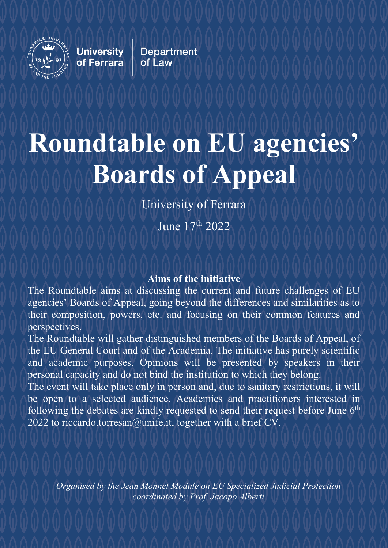

**University** of Ferrara

**Department** of Law

# **Roundtable on EU agencies' Boards of Appeal**

University of Ferrara

June 17th 2022

## **Aims of the initiative**

The Roundtable aims at discussing the current and future challenges of EU agencies' Boards of Appeal, going beyond the differences and similarities as to their composition, powers, etc. and focusing on their common features and perspectives.

The Roundtable will gather distinguished members of the Boards of Appeal, of the EU General Court and of the Academia. The initiative has purely scientific and academic purposes. Opinions will be presented by speakers in their personal capacity and do not bind the institution to which they belong.

The event will take place only in person and, due to sanitary restrictions, it will be open to a selected audience. Academics and practitioners interested in following the debates are kindly requested to send their request before June  $6<sup>th</sup>$ 2022 to [riccardo.torresan@unife.it,](mailto:riccardo.torresan@unife.it) together with a brief CV.

*Organised by the Jean Monnet Module on EU Specialized Judicial Protection coordinated by Prof. Jacopo Alberti*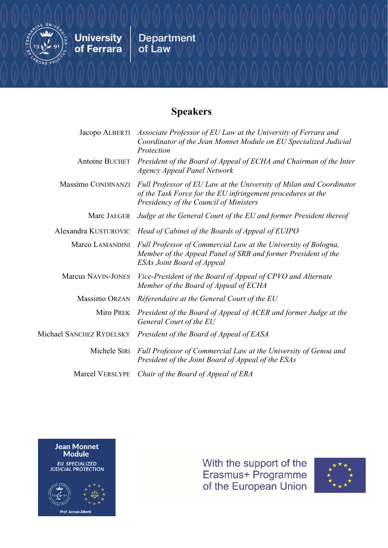

**University**<br>of Ferrara

Department<br>of Law

## **Speakers**

| Jacopo ALBERTI            | Associate Professor of EU Law at the University of Ferrara and<br>Coordinator of the Jean Monnet Module on EU Specialized Judicial<br>Protection                             |
|---------------------------|------------------------------------------------------------------------------------------------------------------------------------------------------------------------------|
| <b>Antoine BUCHET</b>     | President of the Board of Appeal of ECHA and Chairman of the Inter<br><b>Agency Appeal Panel Network</b>                                                                     |
| Massimo CONDINANZI        | Full Professor of EU Law at the University of Milan and Coordinator<br>of the Task Force for the EU infringement procedures at the<br>Presidency of the Council of Ministers |
| Marc JAEGER               | Judge at the General Court of the EU and former President thereof                                                                                                            |
| Alexandra KUSTUROVIC      | Head of Cabinet of the Boards of Appeal of EUIPO                                                                                                                             |
| Marco LAMANDINI           | Full Professor of Commercial Law at the University of Bologna,<br>Member of the Appeal Panel of SRB and former President of the<br><b>ESAs Joint Board of Appeal</b>         |
| <b>Marcus NAVIN-JONES</b> | Vice-President of the Board of Appeal of CPVO and Alternate<br>Member of the Board of Appeal of ECHA                                                                         |
| Massimo ORZAN             | Réferendaire at the General Court of the EU                                                                                                                                  |
| Miro PREK                 | President of the Board of Appeal of ACER and former Judge at the<br>General Court of the EU                                                                                  |
| Michael SANCHEZ RYDELSKY  | President of the Board of Appeal of EASA                                                                                                                                     |
| Michele SIRI              | Full Professor of Commercial Law at the University of Genoa and<br>President of the Joint Board of Appeal of the ESAs                                                        |
| Marcel VERSLYPE           | Chair of the Board of Appeal of ERA                                                                                                                                          |



With the support of the<br>Erasmus+ Programme of the European Union

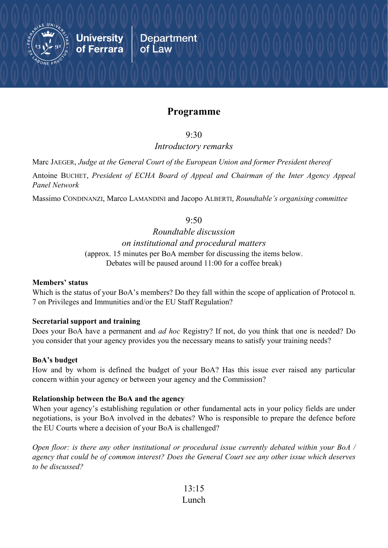

## **Programme**

**Department** 

of Law

#### 9:30

*Introductory remarks*

Marc JAEGER, *Judge at the General Court of the European Union and former President thereof* Antoine BUCHET, *President of ECHA Board of Appeal and Chairman of the Inter Agency Appeal Panel Network*

Massimo CONDINANZI, Marco LAMANDINI and Jacopo ALBERTI, *Roundtable's organising committee*

### $9.50$

## *Roundtable discussion on institutional and procedural matters* (approx. 15 minutes per BoA member for discussing the items below. Debates will be paused around 11:00 for a coffee break)

#### **Members' status**

Which is the status of your BoA's members? Do they fall within the scope of application of Protocol n. 7 on Privileges and Immunities and/or the EU Staff Regulation?

#### **Secretarial support and training**

Does your BoA have a permanent and *ad hoc* Registry? If not, do you think that one is needed? Do you consider that your agency provides you the necessary means to satisfy your training needs?

#### **BoA's budget**

How and by whom is defined the budget of your BoA? Has this issue ever raised any particular concern within your agency or between your agency and the Commission?

#### **Relationship between the BoA and the agency**

When your agency's establishing regulation or other fundamental acts in your policy fields are under negotiations, is your BoA involved in the debates? Who is responsible to prepare the defence before the EU Courts where a decision of your BoA is challenged?

*Open floor: is there any other institutional or procedural issue currently debated within your BoA / agency that could be of common interest? Does the General Court see any other issue which deserves to be discussed?*

## 13:15 Lunch